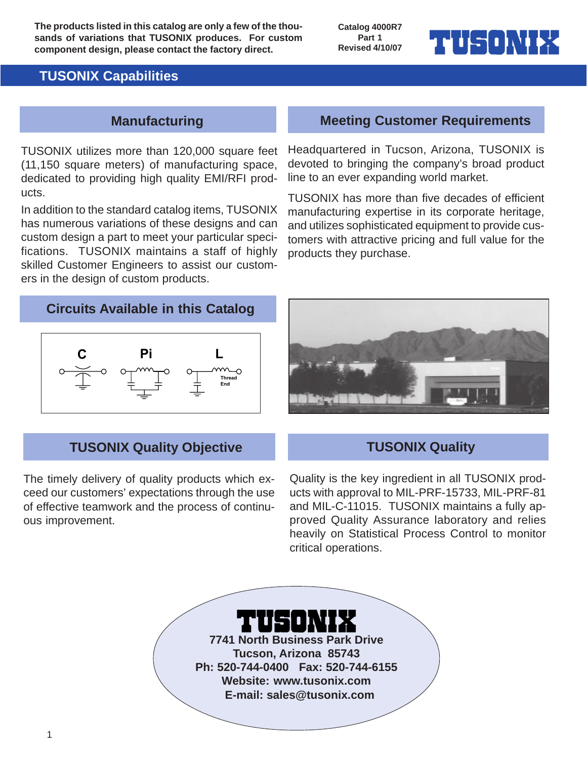**The products listed in this catalog are only a few of the thousands of variations that TUSONIX produces. For custom component design, please contact the factory direct.**

**Catalog 4000R7 Part 1 Revised 4/10/07**

## **TUSONIX Capabilities**

### **Manufacturing**

TUSONIX utilizes more than 120,000 square feet (11,150 square meters) of manufacturing space, dedicated to providing high quality EMI/RFI products.

In addition to the standard catalog items, TUSONIX has numerous variations of these designs and can custom design a part to meet your particular specifications. TUSONIX maintains a staff of highly skilled Customer Engineers to assist our customers in the design of custom products.

### **Meeting Customer Requirements**

▖▅▏▌▐▃▜▗▐▖░▐▕

Headquartered in Tucson, Arizona, TUSONIX is devoted to bringing the company's broad product line to an ever expanding world market.

TUSONIX has more than five decades of efficient manufacturing expertise in its corporate heritage, and utilizes sophisticated equipment to provide customers with attractive pricing and full value for the products they purchase.

### **Circuits Available in this Catalog**



### **TUSONIX Quality Objective**

The timely delivery of quality products which exceed our customers' expectations through the use of effective teamwork and the process of continuous improvement.



### **TUSONIX Quality**

Quality is the key ingredient in all TUSONIX products with approval to MIL-PRF-15733, MIL-PRF-81 and MIL-C-11015. TUSONIX maintains a fully approved Quality Assurance laboratory and relies heavily on Statistical Process Control to monitor critical operations.

**7741 North Business Park Drive Tucson, Arizona 85743**

**Ph: 520-744-0400 Fax: 520-744-6155 Website: www.tusonix.com**

 **E-mail: sales@tusonix.com**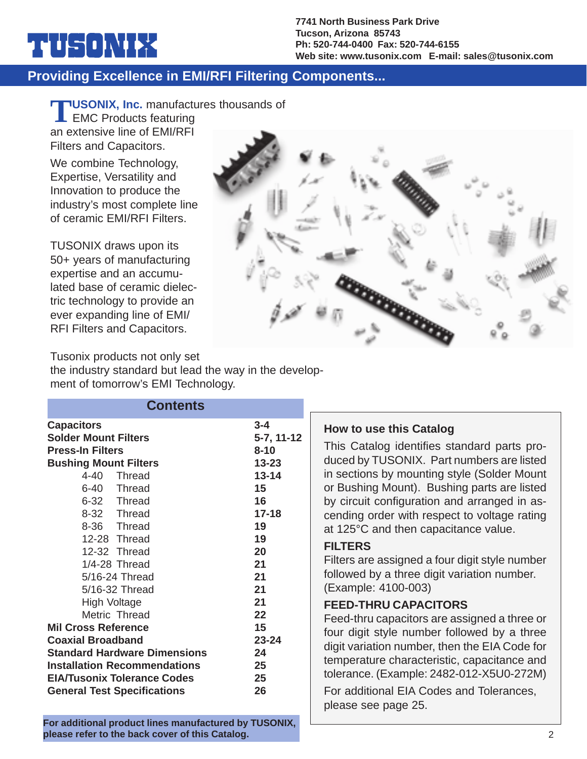#### **7741 North Business Park Drive Tucson, Arizona 85743 Ph: 520-744-0400 Fax: 520-744-6155 Web site: www.tusonix.com E-mail: sales@tusonix.com**

## **Providing Excellence in EMI/RFI Filtering Components...**

**TLUSONIX, Inc.** manufactures thousands of

**EMC Products featuring** an extensive line of EMI/RFI Filters and Capacitors.

▕▆▏▋▐▀▜▏▊▐▏░▐▏▐▘▞▜

We combine Technology, Expertise, Versatility and Innovation to produce the industry's most complete line of ceramic EMI/RFI Filters.

TUSONIX draws upon its 50+ years of manufacturing expertise and an accumulated base of ceramic dielectric technology to provide an ever expanding line of EMI/ RFI Filters and Capacitors.



Tusonix products not only set the industry standard but lead the way in the development of tomorrow's EMI Technology.

| <b>Contents</b>                                                                                                                                                                                                                                                                                                                                                                                                                                                                                                                                                                                               |                                                                                                                                                                                   |                                                                                                                                                                                                                                                                                                                                                                                                                                                                                                                                                                                                                                                                                                                                                                                                                                  |
|---------------------------------------------------------------------------------------------------------------------------------------------------------------------------------------------------------------------------------------------------------------------------------------------------------------------------------------------------------------------------------------------------------------------------------------------------------------------------------------------------------------------------------------------------------------------------------------------------------------|-----------------------------------------------------------------------------------------------------------------------------------------------------------------------------------|----------------------------------------------------------------------------------------------------------------------------------------------------------------------------------------------------------------------------------------------------------------------------------------------------------------------------------------------------------------------------------------------------------------------------------------------------------------------------------------------------------------------------------------------------------------------------------------------------------------------------------------------------------------------------------------------------------------------------------------------------------------------------------------------------------------------------------|
| <b>Capacitors</b><br><b>Solder Mount Filters</b><br><b>Press-In Filters</b><br><b>Bushing Mount Filters</b><br>$4 - 40$<br><b>Thread</b><br>$6 - 40$<br><b>Thread</b><br>$6 - 32$<br><b>Thread</b><br>$8 - 32$<br><b>Thread</b><br>$8 - 36$<br><b>Thread</b><br>12-28 Thread<br>12-32 Thread<br>1/4-28 Thread<br>5/16-24 Thread<br>5/16-32 Thread<br><b>High Voltage</b><br>Metric Thread<br><b>Mil Cross Reference</b><br><b>Coaxial Broadband</b><br><b>Standard Hardware Dimensions</b><br><b>Installation Recommendations</b><br><b>EIA/Tusonix Tolerance Codes</b><br><b>General Test Specifications</b> | $3 - 4$<br>$5-7, 11-12$<br>$8 - 10$<br>$13 - 23$<br>$13 - 14$<br>15<br>16<br>$17 - 18$<br>19<br>19<br>20<br>21<br>21<br>21<br>21<br>22<br>15<br>$23 - 24$<br>24<br>25<br>25<br>26 | <b>How to use this Catalog</b><br>This Catalog identifies standard parts pro-<br>duced by TUSONIX. Part numbers are listed<br>in sections by mounting style (Solder Mount<br>or Bushing Mount). Bushing parts are listed<br>by circuit configuration and arranged in as-<br>cending order with respect to voltage rating<br>at 125°C and then capacitance value.<br><b>FILTERS</b><br>Filters are assigned a four digit style number<br>followed by a three digit variation number.<br>(Example: 4100-003)<br><b>FEED-THRU CAPACITORS</b><br>Feed-thru capacitors are assigned a three or<br>four digit style number followed by a three<br>digit variation number, then the EIA Code for<br>temperature characteristic, capacitance and<br>tolerance. (Example: 2482-012-X5U0-272M)<br>For additional EIA Codes and Tolerances, |
|                                                                                                                                                                                                                                                                                                                                                                                                                                                                                                                                                                                                               |                                                                                                                                                                                   | please see page 25.                                                                                                                                                                                                                                                                                                                                                                                                                                                                                                                                                                                                                                                                                                                                                                                                              |

**For additional product lines manufactured by TUSONIX, please refer to the back cover of this Catalog.**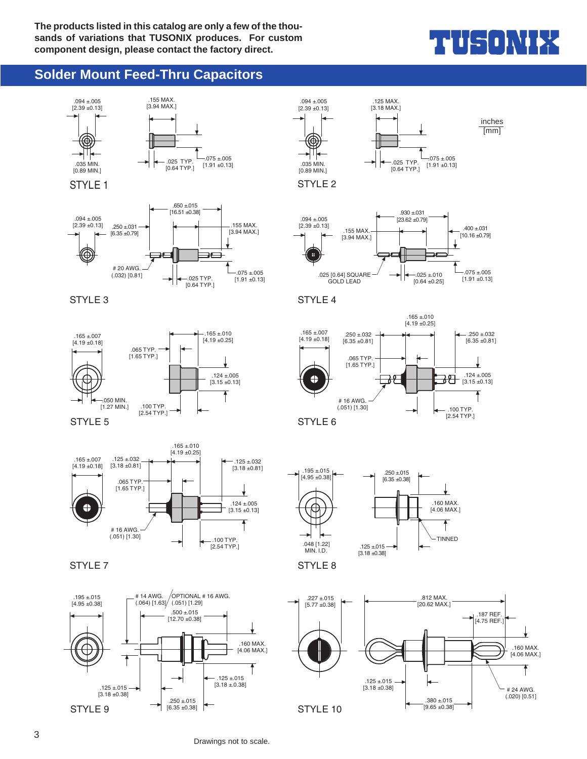# THUS ONIEX

### **Solder Mount Feed-Thru Capacitors**



Drawings not to scale.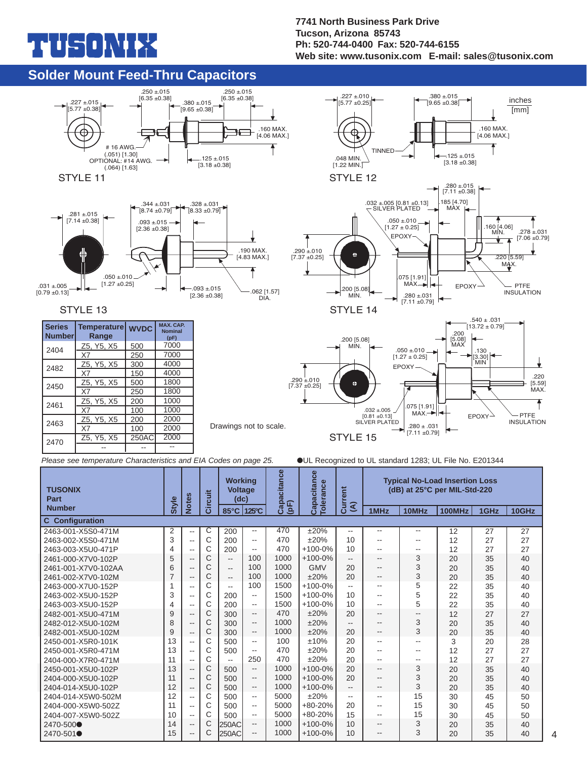# $\blacksquare$

#### **7741 North Business Park Drive Tucson, Arizona 85743 Ph: 520-744-0400 Fax: 520-744-6155 Web site: www.tusonix.com E-mail: sales@tusonix.com**

 $.380 \pm .015$  $[9.65 + 0.38]$ 

.227 ±.010 15.77  $\pm$ 0.25

 $\bigoplus$ 

TINNED

.160 MAX. [4.06 MAX.]

inches [mm]

### **Solder Mount Feed-Thru Capacitors**



#### STYLE 13

| <b>Series</b><br><b>Number</b> | <b>Temperature</b><br>Range | <b>WVDC</b> | <b>MAX. CAP.</b><br><b>Nominal</b><br>(pF) |
|--------------------------------|-----------------------------|-------------|--------------------------------------------|
| 2404                           | Z5, Y5, X5                  | 500         | 7000                                       |
|                                | X7                          | 250         | 7000                                       |
| 2482                           | Z5, Y5, X5                  | 300         | 4000                                       |
|                                | X7                          | 150         | 4000                                       |
| 2450                           | Z5, Y5, X5                  | 500         | 1800                                       |
|                                | X7                          | 250         | 1800                                       |
| 2461                           | Z5, Y5, X5                  | 200         | 1000                                       |
|                                | X7                          | 100         | 1000                                       |
| 2463                           | Z5, Y5, X5                  | 200         | 2000                                       |
|                                | X7                          | 100         | 2000                                       |
| 2470                           | Z5, Y5, X5                  | 250AC       | 2000                                       |
|                                |                             |             |                                            |





*Please see temperature Characteristics and EIA Codes on page 25.*

●UL Recognized to UL standard 1283; UL File No. E201344

| <b>TUSONIX</b><br>Part | Style          | <b>Notes</b>             | <b>Circuit</b> | <b>Working</b><br><b>Voltage</b><br>(dc) |                          | Capacitance | Capacitance<br><b>Tolerance</b> | Current                 |                          | <b>Typical No-Load Insertion Loss</b><br>(dB) at 25°C per MIL-Std-220 |        |      |       |
|------------------------|----------------|--------------------------|----------------|------------------------------------------|--------------------------|-------------|---------------------------------|-------------------------|--------------------------|-----------------------------------------------------------------------|--------|------|-------|
| <b>Number</b>          |                |                          |                | $85^{\circ}$ C                           | 125°C                    | $($ pF $)$  |                                 | $\widehat{\mathcal{E}}$ | 1MHz                     | 10MHz                                                                 | 100MHz | 1GHz | 10GHz |
| <b>C</b> Configuration |                |                          |                |                                          |                          |             |                                 |                         |                          |                                                                       |        |      |       |
| 2463-001-X5S0-471M     | $\overline{2}$ | $\overline{\phantom{m}}$ | С              | 200                                      | --                       | 470         | ±20%                            | --                      | $\frac{1}{2}$            | --                                                                    | 12     | 27   | 27    |
| 2463-002-X5S0-471M     | 3              | $\overline{\phantom{a}}$ | C              | 200                                      | --                       | 470         | ±20%                            | 10                      | --                       | --                                                                    | 12     | 27   | 27    |
| 2463-003-X5U0-471P     | 4              | $\overline{\phantom{a}}$ | C              | 200                                      | --                       | 470         | $+100-0%$                       | 10                      | --                       | --                                                                    | 12     | 27   | 27    |
| 2461-000-X7V0-102P     | 5              | $\overline{\phantom{a}}$ | C              | $\overline{\phantom{a}}$                 | 100                      | 1000        | $+100-0%$                       | --                      | $-$                      | 3                                                                     | 20     | 35   | 40    |
| 2461-001-X7V0-102AA    | 6              | $\overline{\phantom{a}}$ | C              | $\overline{\phantom{a}}$                 | 100                      | 1000        | <b>GMV</b>                      | 20                      | $-$                      | 3                                                                     | 20     | 35   | 40    |
| 2461-002-X7V0-102M     | 7              | $\qquad \qquad -$        | C              | $\overline{\phantom{a}}$                 | 100                      | 1000        | ±20%                            | 20                      | $-$                      | 3                                                                     | 20     | 35   | 40    |
| 2463-000-X7U0-152P     | 1              | $\overline{\phantom{a}}$ | C              | $\overline{\phantom{a}}$                 | 100                      | 1500        | $+100-0%$                       | --                      | $-$                      | 5                                                                     | 22     | 35   | 40    |
| 2463-002-X5U0-152P     | 3              | $\overline{\phantom{a}}$ | C              | 200                                      | $\overline{\phantom{a}}$ | 1500        | $+100-0%$                       | 10                      | $-$                      | 5                                                                     | 22     | 35   | 40    |
| 2463-003-X5U0-152P     | 4              | $\sim$ $\sim$            | C              | 200                                      | $\overline{\phantom{a}}$ | 1500        | $+100-0%$                       | 10                      | --                       | 5                                                                     | 22     | 35   | 40    |
| 2482-001-X5U0-471M     | 9              | $- -$                    | C              | 300                                      | $\overline{\phantom{a}}$ | 470         | ±20%                            | 20                      | $\overline{\phantom{a}}$ | --                                                                    | 12     | 27   | 27    |
| 2482-012-X5U0-102M     | 8              | $\overline{\phantom{a}}$ | C              | 300                                      | $\overline{\phantom{a}}$ | 1000        | ±20%                            | --                      | $\overline{\phantom{a}}$ | 3                                                                     | 20     | 35   | 40    |
| 2482-001-X5U0-102M     | 9              | $\overline{\phantom{a}}$ | C              | 300                                      | $\overline{\phantom{a}}$ | 1000        | ±20%                            | 20                      | $\qquad \qquad -$        | 3                                                                     | 20     | 35   | 40    |
| 2450-001-X5R0-101K     | 13             | $-$                      | C              | 500                                      | --                       | 100         | ±10%                            | 20                      | --                       | --                                                                    | 3      | 20   | 28    |
| 2450-001-X5R0-471M     | 13             | $\overline{\phantom{a}}$ | C              | 500                                      |                          | 470         | ±20%                            | 20                      | --                       | --                                                                    | 12     | 27   | 27    |
| 2404-000-X7R0-471M     | 11             | $\sim$ $\sim$            | C              | $\overline{\phantom{a}}$                 | 250                      | 470         | ±20%                            | 20                      | $-$                      | $-$                                                                   | 12     | 27   | 27    |
| 2450-001-X5U0-102P     | 13             | $-$                      | C              | 500                                      | $\overline{\phantom{a}}$ | 1000        | $+100-0%$                       | 20                      | $\overline{\phantom{a}}$ | 3                                                                     | 20     | 35   | 40    |
| 2404-000-X5U0-102P     | 11             | $\overline{\phantom{a}}$ | C              | 500                                      | $- -$                    | 1000        | $+100-0%$                       | 20                      | $\qquad \qquad -$        | 3                                                                     | 20     | 35   | 40    |
| 2404-014-X5U0-102P     | 12             | $\overline{\phantom{a}}$ | C              | 500                                      | --                       | 1000        | $+100-0%$                       | --                      | --                       | 3                                                                     | 20     | 35   | 40    |
| 2404-014-X5W0-502M     | 12             | $-$                      | C              | 500                                      | $- -$                    | 5000        | ±20%                            | --                      | $-$                      | 15                                                                    | 30     | 45   | 50    |
| 2404-000-X5W0-502Z     | 11             | $-$                      | C              | 500                                      | $- -$                    | 5000        | $+80-20%$                       | 20                      | $-$                      | 15                                                                    | 30     | 45   | 50    |
| 2404-007-X5W0-502Z     | 10             | $\overline{\phantom{a}}$ | C              | 500                                      | --                       | 5000        | $+80-20%$                       | 15                      | $\overline{\phantom{a}}$ | 15                                                                    | 30     | 45   | 50    |
| 2470-500●              | 14             | $\overline{\phantom{a}}$ | C              | <b>250AC</b>                             | --                       | 1000        | $+100-0%$                       | 10                      | $- -$                    | 3                                                                     | 20     | 35   | 40    |
| 2470-501●              | 15             | $- -$                    | С              | <b>250AC</b>                             | --                       | 1000        | $+100-0%$                       | 10                      | $\overline{\phantom{a}}$ | 3                                                                     | 20     | 35   | 40    |

DIA.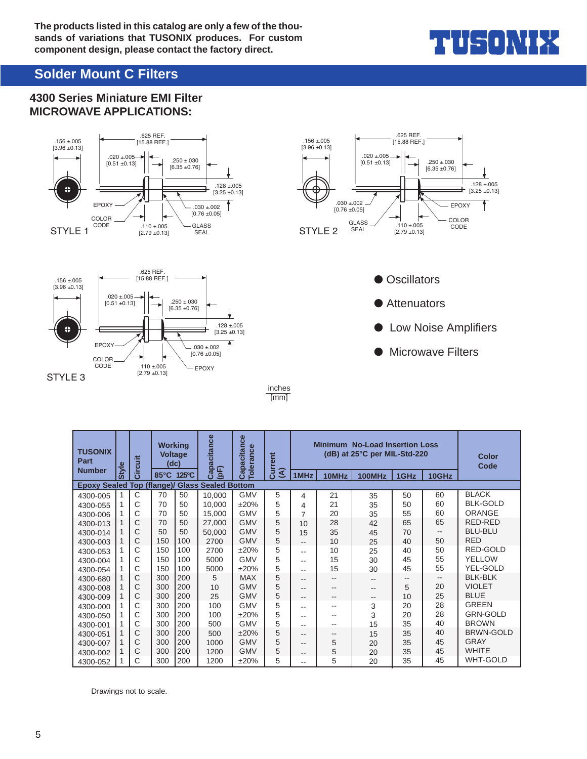

## **Solder Mount C Filters**

### **4300 Series Miniature EMI Filter MICROWAVE APPLICATIONS:**









● Attenuators

- **Low Noise Amplifiers**
- **Microwave Filters**

inches [mm]

| <b>TUSONIX</b><br>Part            |              | <b>Circuit</b> | <b>Working</b><br><b>Voltage</b><br>(dc) |                 | pacitance<br>企             | pacitance<br><b>Tolerance</b> | <b>Minimum No-Load Insertion Loss</b><br>(dB) at 25°C per MIL-Std-220<br>rent<br>ā<br>$\widehat{\mathcal{E}}$ |      |       |               |      |       | <b>Color</b><br>Code |
|-----------------------------------|--------------|----------------|------------------------------------------|-----------------|----------------------------|-------------------------------|---------------------------------------------------------------------------------------------------------------|------|-------|---------------|------|-------|----------------------|
| <b>Number</b>                     | <b>Style</b> |                | $85^{\circ}$ C                           | $125^{\circ}$ C | ලි<br>흐                    | <u>ලි</u>                     |                                                                                                               | 1MHz | 10MHz | <b>100MHz</b> | 1GHz | 10GHz |                      |
| <b>Epoxy Sealed Top (flange)/</b> |              |                |                                          |                 | <b>Glass Sealed Bottom</b> |                               |                                                                                                               |      |       |               |      |       |                      |
| 4300-005                          |              | С              | 70                                       | 50              | 10.000                     | <b>GMV</b>                    | 5                                                                                                             | 4    | 21    | 35            | 50   | 60    | <b>BLACK</b>         |
| 4300-055                          |              | C              | 70                                       | 50              | 10.000                     | ±20%                          | 5                                                                                                             | 4    | 21    | 35            | 50   | 60    | <b>BLK-GOLD</b>      |
| 4300-006                          |              | Ć              | 70                                       | 50              | 15,000                     | <b>GMV</b>                    | 5                                                                                                             | 7    | 20    | 35            | 55   | 60    | ORANGE               |
| 4300-013                          |              | C              | 70                                       | 50              | 27.000                     | <b>GMV</b>                    | 5                                                                                                             | 10   | 28    | 42            | 65   | 65    | RED-RED              |
| 4300-014                          |              | C              | 50                                       | 50              | 50.000                     | <b>GMV</b>                    | 5                                                                                                             | 15   | 35    | 45            | 70   | --    | <b>BLU-BLU</b>       |
| 4300-003                          |              | С              | 150                                      | 100             | 2700                       | <b>GMV</b>                    | 5                                                                                                             | --   | 10    | 25            | 40   | 50    | <b>RED</b>           |
| 4300-053                          |              | С              | 150                                      | 100             | 2700                       | ±20%                          | 5                                                                                                             | --   | 10    | 25            | 40   | 50    | RED-GOLD             |
| 4300-004                          |              | С              | 150                                      | 100             | 5000                       | <b>GMV</b>                    | 5                                                                                                             | --   | 15    | 30            | 45   | 55    | <b>YELLOW</b>        |
| 4300-054                          |              | C              | 150                                      | 100             | 5000                       | ±20%                          | 5                                                                                                             | --   | 15    | 30            | 45   | 55    | YEL-GOLD             |
| 4300-680                          | 1            | С              | 300                                      | 200             | 5                          | <b>MAX</b>                    | 5                                                                                                             | --   | $- -$ |               | --   | --    | <b>BLK-BLK</b>       |
| 4300-008                          |              | С              | 300                                      | 200             | 10                         | <b>GMV</b>                    | 5                                                                                                             | --   | --    | --            | 5    | 20    | <b>VIOLET</b>        |
| 4300-009                          | 1            | С              | 300                                      | 200             | 25                         | <b>GMV</b>                    | 5                                                                                                             | --   | --    | --            | 10   | 25    | <b>BLUE</b>          |
| 4300-000                          |              | С              | 300                                      | 200             | 100                        | <b>GMV</b>                    | 5                                                                                                             | --   | $-$   | 3             | 20   | 28    | <b>GREEN</b>         |
| 4300-050                          |              | С              | 300                                      | 200             | 100                        | ±20%                          | 5                                                                                                             | --   | $-$   | 3             | 20   | 28    | <b>GRN-GOLD</b>      |
| 4300-001                          |              | C              | 300                                      | 200             | 500                        | <b>GMV</b>                    | 5                                                                                                             | --   | --    | 15            | 35   | 40    | <b>BROWN</b>         |
| 4300-051                          |              | С              | 300                                      | 200             | 500                        | ±20%                          | 5                                                                                                             | --   | --    | 15            | 35   | 40    | <b>BRWN-GOLD</b>     |
| 4300-007                          |              | С              | 300                                      | 200             | 1000                       | <b>GMV</b>                    | 5                                                                                                             | --   | 5     | 20            | 35   | 45    | <b>GRAY</b>          |
| 4300-002                          | 1            | С              | 300                                      | 200             | 1200                       | <b>GMV</b>                    | 5                                                                                                             | --   | 5     | 20            | 35   | 45    | <b>WHITE</b>         |
| 4300-052                          |              | Ć              | 300                                      | 200             | 1200                       | ±20%                          | 5                                                                                                             | --   | 5     | 20            | 35   | 45    | <b>WHT-GOLD</b>      |

Drawings not to scale.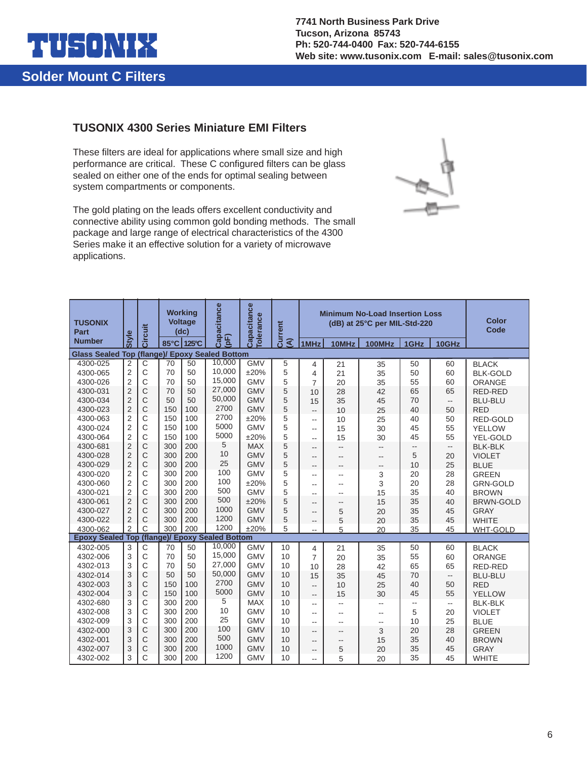

### **TUSONIX 4300 Series Miniature EMI Filters**

These filters are ideal for applications where small size and high performance are critical. These C configured filters can be glass sealed on either one of the ends for optimal sealing between system compartments or components.

The gold plating on the leads offers excellent conductivity and connective ability using common gold bonding methods. The small package and large range of electrical characteristics of the 4300 Series make it an effective solution for a variety of microwave applications.



| <b>TUSONIX</b><br>Part<br><b>Number</b> | <b>Style</b>            | Circuit      |     | <b>Working</b><br><b>Voltage</b><br>(dc)<br>85°C 125°C | Capacitance<br>(pF)           | Capacitance<br><b>Tolerance</b> | Current<br>$\widehat{\mathcal{E}}$ | 1MHz                        | 10MHz           | <b>Minimum No-Load Insertion Loss</b><br>(dB) at 25°C per MIL-Std-220<br><b>100MHz</b> | 1GHz | 10GHz                    | Color<br>Code    |  |
|-----------------------------------------|-------------------------|--------------|-----|--------------------------------------------------------|-------------------------------|---------------------------------|------------------------------------|-----------------------------|-----------------|----------------------------------------------------------------------------------------|------|--------------------------|------------------|--|
| <b>Glass Sealed Top</b>                 |                         |              |     |                                                        | (flange)/ Epoxy Sealed Bottom |                                 |                                    |                             |                 |                                                                                        |      |                          |                  |  |
| 4300-025                                | 2                       | $\mathsf{C}$ | 70  | 50                                                     | 10,000                        | <b>GMV</b>                      | 5                                  | 4                           | 21              | 35                                                                                     | 50   | 60                       | <b>BLACK</b>     |  |
| 4300-065                                | $\overline{2}$          | C            | 70  | 50                                                     | 10,000                        | ±20%                            | 5                                  | 4                           | 21              | 35                                                                                     | 50   | 60                       | <b>BLK-GOLD</b>  |  |
| 4300-026                                | $\overline{2}$          | $\mathsf{C}$ | 70  | 50                                                     | 15,000                        | <b>GMV</b>                      | 5                                  | $\overline{7}$              | 20              | 35                                                                                     | 55   | 60                       | ORANGE           |  |
| 4300-031                                | $\overline{2}$          | C            | 70  | 50                                                     | 27,000                        | <b>GMV</b>                      | 5                                  | 10                          | 28              | 42                                                                                     | 65   | 65                       | <b>RED-RED</b>   |  |
| 4300-034                                | $\overline{2}$          | C            | 50  | 50                                                     | 50,000                        | <b>GMV</b>                      | 5                                  | 15                          | 35              | 45                                                                                     | 70   | $\overline{\phantom{a}}$ | <b>BLU-BLU</b>   |  |
| 4300-023                                | $\overline{2}$          | C            | 150 | 100                                                    | 2700                          | <b>GMV</b>                      | 5                                  | $\overline{\phantom{a}}$    | 10              | 25                                                                                     | 40   | 50                       | <b>RED</b>       |  |
| 4300-063                                | $\overline{c}$          | $\mathsf{C}$ | 150 | 100                                                    | 2700                          | ±20%                            | 5                                  | $\overline{a}$              | 10              | 25                                                                                     | 40   | 50                       | <b>RED-GOLD</b>  |  |
| 4300-024                                | $\overline{2}$          | $\mathsf{C}$ | 150 | 100                                                    | 5000                          | <b>GMV</b>                      | 5                                  | $\overline{a}$              | 15              | 30                                                                                     | 45   | 55                       | <b>YELLOW</b>    |  |
| 4300-064                                | $\mathbf 2$             | $\mathsf{C}$ | 150 | 100                                                    | 5000                          | ±20%                            | 5                                  | $\sim$                      | 15              | 30                                                                                     | 45   | 55                       | YEL-GOLD         |  |
| 4300-681                                | $\overline{2}$          | $\mathsf{C}$ | 300 | 200                                                    | 5                             | <b>MAX</b>                      | 5                                  | $-$                         | --              | --                                                                                     |      | $\overline{\phantom{a}}$ | <b>BLK-BLK</b>   |  |
| 4300-028                                | $\overline{2}$          | $\mathsf{C}$ | 300 | 200                                                    | 10                            | <b>GMV</b>                      | 5                                  | $\sim$                      | $-$             |                                                                                        | 5    | 20                       | <b>VIOLET</b>    |  |
| 4300-029                                | $\overline{2}$          | C            | 300 | 200                                                    | 25                            | <b>GMV</b>                      | 5                                  | --                          | --              | --                                                                                     | 10   | 25                       | <b>BLUE</b>      |  |
| 4300-020                                | $\overline{2}$          | Ċ            | 300 | 200                                                    | 100                           | <b>GMV</b>                      | 5                                  | --                          | --              | 3                                                                                      | 20   | 28                       | <b>GREEN</b>     |  |
| 4300-060                                | $\overline{\mathbf{c}}$ | C            | 300 | 200                                                    | 100                           | ±20%                            | 5                                  | $\overline{a}$              | $-$             | 3                                                                                      | 20   | 28                       | <b>GRN-GOLD</b>  |  |
| 4300-021                                | $\overline{2}$          | $\mathsf{C}$ | 300 | 200                                                    | 500                           | <b>GMV</b>                      | 5                                  | $-1$                        | 35<br>15<br>$-$ |                                                                                        | 40   | <b>BROWN</b>             |                  |  |
| 4300-061                                | $\overline{2}$          | C            | 300 | 200                                                    | 500                           | ±20%                            | 5                                  | --                          | 15<br>$-$       |                                                                                        | 35   | 40                       | <b>BRWN-GOLD</b> |  |
| 4300-027                                | $\overline{2}$          | $\mathsf{C}$ | 300 | 200                                                    | 1000                          | <b>GMV</b>                      | 5                                  | $\overline{a}$              | 5               | 20                                                                                     | 35   | 45                       | <b>GRAY</b>      |  |
| 4300-022                                | $\overline{2}$          | C            | 300 | 200                                                    | 1200                          | <b>GMV</b>                      | 5                                  | --                          | 5               | 20                                                                                     | 35   | 45                       | <b>WHITE</b>     |  |
| 4300-062                                | $\overline{2}$          | Ċ            | 300 | 200                                                    | 1200                          | ±20%                            | 5                                  | $-$                         | 5               | 20                                                                                     | 35   | 45                       | <b>WHT-GOLD</b>  |  |
| <b>Epoxy Sealed Top</b>                 |                         |              |     |                                                        | (flange)/ Epoxy Sealed Bottom |                                 |                                    |                             |                 |                                                                                        |      |                          |                  |  |
| 4302-005                                | 3                       | $\mathsf C$  | 70  | 50                                                     | 10,000                        | <b>GMV</b>                      | 10                                 | 4                           | 21              | 35                                                                                     | 50   | 60                       | <b>BLACK</b>     |  |
| 4302-006                                | 3                       | $\mathsf{C}$ | 70  | 50                                                     | 15,000                        | <b>GMV</b>                      | 10                                 | $\overline{7}$              | 20              | 35                                                                                     | 55   | 60                       | ORANGE           |  |
| 4302-013                                | 3                       | $\mathsf{C}$ | 70  | 50                                                     | 27,000                        | <b>GMV</b>                      | 10                                 | 10                          | 28              | 42                                                                                     | 65   | 65                       | <b>RED-RED</b>   |  |
| 4302-014                                | 3                       | C            | 50  | 50                                                     | 50,000                        | <b>GMV</b>                      | 10                                 | 15                          | 35              | 45                                                                                     | 70   | $\overline{\phantom{a}}$ | <b>BLU-BLU</b>   |  |
| 4302-003                                | 3                       | $\mathsf{C}$ | 150 | 100                                                    | 2700<br>5000                  | <b>GMV</b>                      | 10                                 | $\overline{a}$              | 10              | 25                                                                                     | 40   | 50                       | <b>RED</b>       |  |
| 4302-004                                | 3                       | C            | 150 | 100                                                    |                               | <b>GMV</b>                      | 10                                 | $-$                         | 15              | 30                                                                                     | 45   | 55                       | YELLOW           |  |
| 4302-680                                | 3                       | C            | 300 | 200                                                    | 5                             | <b>MAX</b>                      |                                    | 10<br>$\overline{a}$<br>$-$ |                 | $\overline{a}$                                                                         | --   | --                       | <b>BLK-BLK</b>   |  |
| 4302-008                                | 3                       | $\mathsf{C}$ | 300 | 200                                                    | 10<br>25                      | <b>GMV</b>                      | 10                                 | Щ,                          | --              | $-$                                                                                    | 5    | 20                       | <b>VIOLET</b>    |  |
| 4302-009                                | 3                       | C            | 300 | 200                                                    | 100                           | <b>GMV</b>                      | 10                                 | $\overline{a}$              |                 | --                                                                                     | 10   | 25                       | <b>BLUE</b>      |  |
| 4302-000                                | 3                       | $\mathsf{C}$ | 300 | 200                                                    | 500                           | <b>GMV</b>                      | 10                                 | $-$                         | $- -$           | 3                                                                                      | 20   | 28                       | <b>GREEN</b>     |  |
| 4302-001                                | 3                       | C            | 300 | 200                                                    | 1000                          | <b>GMV</b>                      | 10                                 | $-$                         | --              | 15                                                                                     | 35   | 40                       | <b>BROWN</b>     |  |
| 4302-007                                | 3                       | C            | 300 | 200                                                    | 1200                          | <b>GMV</b>                      | 10                                 | $\overline{\phantom{a}}$    | 5               | 20                                                                                     | 35   | 45                       | <b>GRAY</b>      |  |
| 4302-002                                | 3                       | C            | 300 | 200                                                    |                               | <b>GMV</b>                      | 10                                 | u.                          | 5               | 20<br>35                                                                               |      | 45                       | <b>WHITE</b>     |  |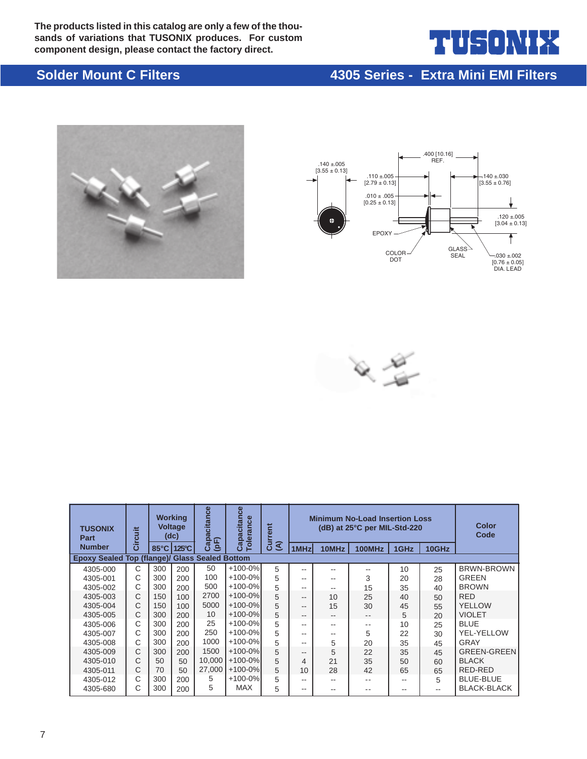**The products listed in this catalog are only a few of the thousands of variations that TUSONIX produces. For custom component design, please contact the factory direct.**

# ╽┟╤┨╻┠╷╲┇

## **Solder Mount C Filters 4305 Series - Extra Mini EMI Filters**







| <b>TUSONIX</b><br>Part                         | <b>juit</b> |                | <b>Working</b><br><b>Voltage</b><br>(dc) | citance<br>Capac<br>(pF) | Capacitance<br><b>Tolerance</b> | <b>Minimum No-Load Insertion Loss</b><br>Current<br>(dB) at 25°C per MIL-Std-220<br>$\widehat{\mathcal{E}}$ |       |       |        |      |       | <b>Color</b><br>Code |
|------------------------------------------------|-------------|----------------|------------------------------------------|--------------------------|---------------------------------|-------------------------------------------------------------------------------------------------------------|-------|-------|--------|------|-------|----------------------|
| <b>Number</b>                                  | ຮັ          | $85^{\circ}$ C | 125°C                                    |                          |                                 |                                                                                                             | 1MHz  | 10MHz | 100MHz | 1GHz | 10GHz |                      |
| Epoxy Sealed Top (flange)/ Glass Sealed Bottom |             |                |                                          |                          |                                 |                                                                                                             |       |       |        |      |       |                      |
| 4305-000                                       | C           | 300            | 200                                      | 50                       | $+100-0%$                       | 5                                                                                                           | --    | --    |        | 10   | 25    | <b>BRWN-BROWN</b>    |
| 4305-001                                       | Ć           | 300            | 200                                      | 100                      | $+100-0%$                       | 5                                                                                                           | --    | --    | 3      | 20   | 28    | <b>GREEN</b>         |
| 4305-002                                       | Ć           | 300            | 200                                      | 500                      | $+100-0%$                       | 5                                                                                                           | --    | --    | 15     | 35   | 40    | <b>BROWN</b>         |
| 4305-003                                       | C           | 150            | 100                                      | 2700                     | $+100-0%$                       | 5                                                                                                           | --    | 10    | 25     | 40   | 50    | <b>RED</b>           |
| 4305-004                                       | С           | 150            | 100                                      | 5000                     | $+100-0%$                       | 5                                                                                                           | --    | 15    | 30     | 45   | 55    | YELLOW               |
| 4305-005                                       | C           | 300            | 200                                      | 10                       | $+100-0%$                       | 5                                                                                                           | --    | $- -$ | $- -$  | 5    | 20    | <b>VIOLET</b>        |
| 4305-006                                       | C           | 300            | 200                                      | 25                       | $+100-0%$                       | 5                                                                                                           | --    | --    | $ -$   | 10   | 25    | <b>BLUE</b>          |
| 4305-007                                       | Ć           | 300            | 200                                      | 250                      | $+100-0%$                       | 5                                                                                                           | --    | $- -$ | 5      | 22   | 30    | YEL-YELLOW           |
| 4305-008                                       | С           | 300            | 200                                      | 1000                     | $+100-0%$                       | 5                                                                                                           | --    | 5     | 20     | 35   | 45    | GRAY                 |
| 4305-009                                       | C           | 300            | 200                                      | 1500                     | $+100-0%$                       | 5                                                                                                           | --    | 5     | 22     | 35   | 45    | <b>GREEN-GREEN</b>   |
| 4305-010                                       | С           | 50             | 50                                       | 10.000                   | $+100-0%$                       | 5                                                                                                           | 4     | 21    | 35     | 50   | 60    | <b>BLACK</b>         |
| 4305-011                                       | C           | 70             | 50                                       | 27,000                   | $+100-0%$                       | 5                                                                                                           | 10    | 28    | 42     | 65   | 65    | RED-RED              |
| 4305-012                                       | C           | 300            | 200                                      | 5                        | $+100-0%$                       | 5                                                                                                           | --    | --    | $- -$  | --   | 5     | <b>BLUE-BLUE</b>     |
| 4305-680                                       | С           | 300            | 200                                      | 5                        | <b>MAX</b>                      | 5                                                                                                           | $- -$ | --    |        |      | --    | <b>BLACK-BLACK</b>   |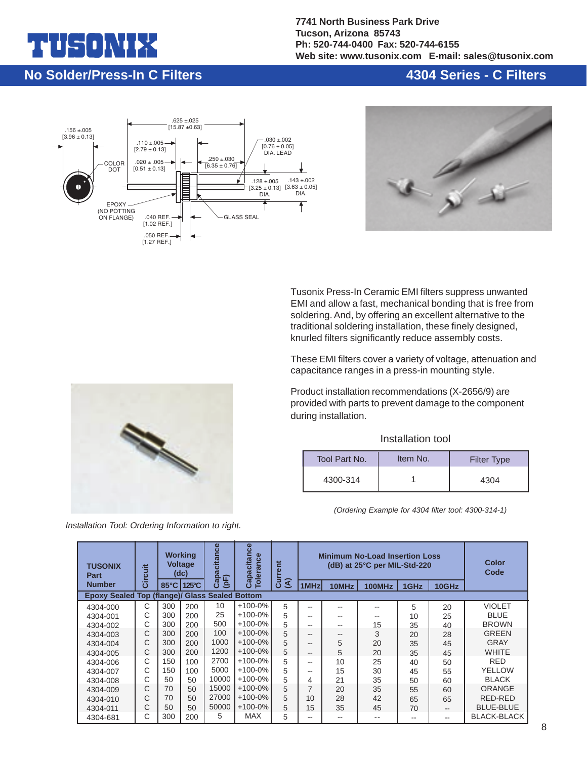# ╶┑╻╽╲╽

**7741 North Business Park Drive Tucson, Arizona 85743 Ph: 520-744-0400 Fax: 520-744-6155 Web site: www.tusonix.com E-mail: sales@tusonix.com**

## **No Solder/Press-In C Filters**

### **4304 Series - C Filters**





Tusonix Press-In Ceramic EMI filters suppress unwanted EMI and allow a fast, mechanical bonding that is free from soldering. And, by offering an excellent alternative to the traditional soldering installation, these finely designed, knurled filters significantly reduce assembly costs.

These EMI filters cover a variety of voltage, attenuation and capacitance ranges in a press-in mounting style.

Product installation recommendations (X-2656/9) are provided with parts to prevent damage to the component during installation.

#### Installation tool

| Tool Part No. | Item No. | <b>Filter Type</b> |
|---------------|----------|--------------------|
| 4300-314      |          | 4304               |

*(Ordering Example for 4304 filter tool: 4300-314-1)*

| <b>TUSONIX</b><br><b>Part</b>                         | Circuit | Capacitance<br><b>Working</b><br><b>Voltage</b><br>(dc)<br>(pF)<br>125°C<br>$85^{\circ}$ C |     | pacitance<br><b>Tolerance</b> | rent       |                               |                | <b>Minimum No-Load Insertion Loss</b><br>(dB) at 25°C per MIL-Std-220 |        |      | <b>Color</b><br>Code |                  |
|-------------------------------------------------------|---------|--------------------------------------------------------------------------------------------|-----|-------------------------------|------------|-------------------------------|----------------|-----------------------------------------------------------------------|--------|------|----------------------|------------------|
| <b>Number</b>                                         |         |                                                                                            |     |                               | ෬<br>ن     | ខី<br>$\widehat{\mathcal{E}}$ | 1MHz           | 10MHz                                                                 | 100MHz | 1GHz | 10GHz                |                  |
| <b>Epoxy Sealed Top (flange)/ Glass Sealed Bottom</b> |         |                                                                                            |     |                               |            |                               |                |                                                                       |        |      |                      |                  |
| 4304-000                                              | С       | 300                                                                                        | 200 | 10                            | $+100-0%$  | 5                             | --             |                                                                       |        | 5    | 20                   | <b>VIOLET</b>    |
| 4304-001                                              | С       | 300                                                                                        | 200 | 25                            | $+100-0%$  | 5                             | --             | --                                                                    |        | 10   | 25                   | <b>BLUE</b>      |
| 4304-002                                              | С       | 300                                                                                        | 200 | 500                           | $+100-0%$  | 5                             | --             | --                                                                    | 15     | 35   | 40                   | <b>BROWN</b>     |
| 4304-003                                              | C       | 300                                                                                        | 200 | 100                           | $+100-0%$  | 5                             | --             | $- -$                                                                 | 3      | 20   | 28                   | <b>GREEN</b>     |
| 4304-004                                              | C       | 300                                                                                        | 200 | 1000                          | $+100-0%$  | 5                             | --             | 5                                                                     | 20     | 35   | 45                   | <b>GRAY</b>      |
| 4304-005                                              | С       | 300                                                                                        | 200 | 1200                          | $+100-0%$  | 5                             | --             | 5                                                                     | 20     | 35   | 45                   | <b>WHITE</b>     |
| 4304-006                                              | С       | 150                                                                                        | 100 | 2700                          | $+100-0%$  | 5                             | --             | 10                                                                    | 25     | 40   | 50                   | <b>RED</b>       |
| 4304-007                                              | С       | 150                                                                                        | 100 | 5000                          | $+100-0%$  | 5                             | --             | 15                                                                    | 30     | 45   | 55                   | <b>YELLOW</b>    |
| 4304-008                                              | С       | 50                                                                                         | 50  | 10000                         | $+100-0%$  | 5                             | 4              | 21                                                                    | 35     | 50   | 60                   | <b>BLACK</b>     |
| 4304-009                                              | Ć       | 70                                                                                         | 50  | 15000                         | $+100-0%$  | 5                             | $\overline{ }$ | 20                                                                    | 35     | 55   | 60                   | ORANGE           |
| 4304-010                                              | С       | 70                                                                                         | 50  | 27000                         | $+100-0%$  | 5                             | 10             | 28                                                                    | 42     | 65   | 65                   | RED-RED          |
| 4304-011                                              | С       | 50                                                                                         | 50  | 50000                         | $+100-0%$  | 5                             | 15             | 35                                                                    | 45     | 70   | $- -$                | <b>BLUE-BLUE</b> |
| 4304-681                                              | С       | 300                                                                                        | 200 | 5                             | <b>MAX</b> | 5                             | --             | --                                                                    | --     |      | --                   | BLACK-BLACK      |



*Installation Tool: Ordering Information to right.*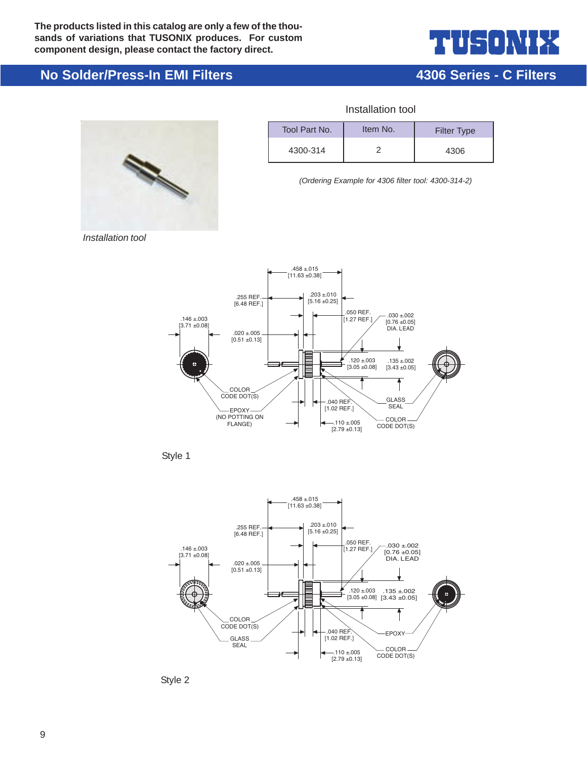

**4306 Series - C Filters**

## **No Solder/Press-In EMI Filters**



| Tool Part No. | Item No. | <b>Filter Type</b> |
|---------------|----------|--------------------|
| 4300-314      |          | 4306               |

Installation tool

*(Ordering Example for 4306 filter tool: 4300-314-2)*

*Installation tool*



Style 1



Style 2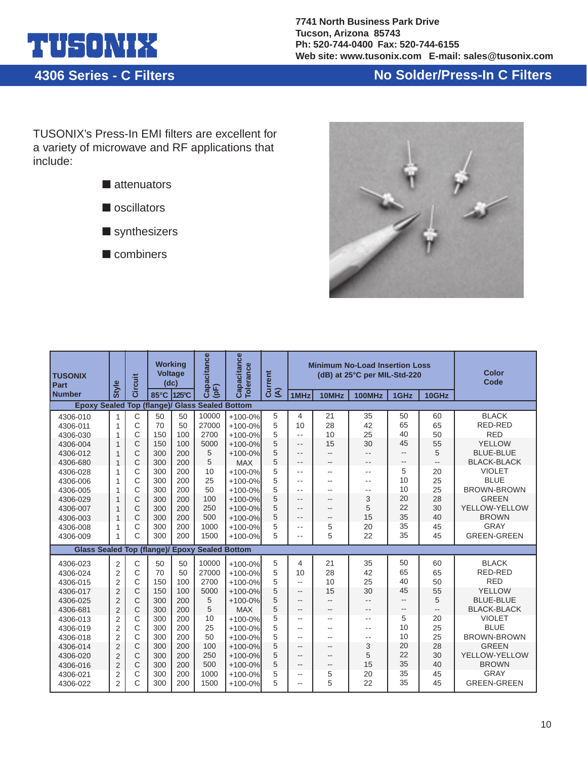

**4306 Series - C Filters**

# **No Solder/Press-In C Filters**

TUSONIX's Press-In EMI filters are excellent for a variety of microwave and RF applications that include:





| <b>TUSONIX</b><br><b>Part</b>                                          | <b>Style</b>                 | Circuit | Working<br><b>Voltage</b><br>(dc) |           | Capacitance<br>$p(\bar{p})$ | Capacitance<br><b>Tolerance</b> | Current<br>$\widehat{\mathcal{E}}$ |                          |                | <b>Minimum No-Load Insertion Loss</b><br>(dB) at 25°C per MIL-Std-220 |                          |                | Color<br>Code      |
|------------------------------------------------------------------------|------------------------------|---------|-----------------------------------|-----------|-----------------------------|---------------------------------|------------------------------------|--------------------------|----------------|-----------------------------------------------------------------------|--------------------------|----------------|--------------------|
| <b>Number</b><br><b>Epoxy Sealed Top (flange)/ Glass Sealed Bottom</b> |                              |         | 85°C                              | 125°C     |                             |                                 |                                    | 1MHz                     | 10MHz          | <b>100MHz</b>                                                         | 1GHz                     | 10GHz          |                    |
|                                                                        |                              |         |                                   |           |                             |                                 |                                    |                          |                |                                                                       | 50                       |                | <b>BLACK</b>       |
| 4306-010                                                               | 1                            | C       | 50<br>70                          | 50        | 10000<br>27000              | $+100-0%$                       | 5<br>5                             | 4<br>10                  | 21<br>28       | 35<br>42                                                              | 65                       | 60<br>65       | RED-RED            |
| 4306-011                                                               | 1                            | C<br>C  |                                   | 50<br>100 | 2700                        | $+100-0%$                       | 5                                  | $\sim$ $\sim$            | 10             | 25                                                                    | 40                       | 50             | <b>RED</b>         |
| 4306-030                                                               | $\mathbf{1}$<br>$\mathbf{1}$ | C       | 150<br>150                        | 100       | 5000                        | $+100-0%$<br>$+100-0%$          | 5                                  | $ -$                     | 15             | 30                                                                    | 45                       | 55             | YELLOW             |
| 4306-004<br>4306-012                                                   | $\mathbf{1}$                 | C       | 300                               | 200       | 5                           | $+100-0%$                       | 5                                  | $- -$                    | $\overline{a}$ | $- -$                                                                 | $\overline{\phantom{a}}$ | 5              | <b>BLUE-BLUE</b>   |
| 4306-680                                                               | $\mathbf{1}$                 | C       | 300                               | 200       | 5                           | <b>MAX</b>                      | 5                                  | --                       | --             |                                                                       | $\overline{\phantom{a}}$ | Ш,             | <b>BLACK-BLACK</b> |
| 4306-028                                                               | 1                            | C       | 300                               | 200       | 10                          | $+100-0%$                       | 5                                  | $-$                      | --             | $\sim$ $\sim$                                                         | 5                        | 20             | <b>VIOLET</b>      |
| 4306-006                                                               | 1                            | C       | 300                               | 200       | 25                          | $+100-0%$                       | 5                                  | $-$                      | --             | $\sim$ $\sim$                                                         | 10                       | 25             | <b>BLUE</b>        |
| 4306-005                                                               | 1                            | Ċ       | 300                               | 200       | 50                          | $+100-0%$                       | 5                                  | $\sim$ $\sim$            | --             | $ -$                                                                  | 10                       | 25             | <b>BROWN-BROWN</b> |
| 4306-029                                                               | $\mathbf{1}$                 | C       | 300                               | 200       | 100                         | $+100-0%$                       | 5                                  | $\sim$ $\sim$            | $\sim$         | 3                                                                     | 20                       | 28             | <b>GREEN</b>       |
| 4306-007                                                               | $\mathbf{1}$                 | C       | 300                               | 200       | 250                         | $+100-0%$                       | 5                                  | $\sim$ $\sim$            | --             | 5                                                                     | 22                       | 30             | YELLOW-YELLOW      |
| 4306-003                                                               | $\mathbf{1}$                 | C       | 300                               | 200       | 500                         | $+100-0%$                       | 5                                  | --                       | --             | 15                                                                    | 35                       | 40             | <b>BROWN</b>       |
| 4306-008                                                               | 1                            | C       | 300                               | 200       | 1000                        | $+100-0%$                       | 5                                  | $ -$                     | 5              | 20                                                                    | 35                       | 45             | GRAY               |
| 4306-009                                                               | 1                            | C       | 300                               | 200       | 1500                        | $+100-0%$                       | 5                                  | $ -$                     | 5              | 22                                                                    | 35                       | 45             | <b>GREEN-GREEN</b> |
| <b>Glass Sealed Top (flange)/ Epoxy</b>                                |                              |         |                                   |           | <b>Sealed Bottom</b>        |                                 |                                    |                          |                |                                                                       |                          |                |                    |
| 4306-023                                                               | $\overline{2}$               | C       | 50                                | 50        | 10000                       | $+100-0%$                       | 5                                  | 4                        | 21             | 35                                                                    | 50                       | 60             | <b>BLACK</b>       |
| 4306-024                                                               | $\overline{2}$               | Ċ       | 70                                | 50        | 27000                       | $+100-0%$                       | 5                                  | 10                       | 28             | 42                                                                    | 65                       | 65             | RED-RED            |
| 4306-015                                                               | $\overline{2}$               | Ċ       | 150                               | 100       | 2700                        | $+100-0%$                       | 5                                  | --                       | 10             | 25                                                                    | 40                       | 50             | <b>RED</b>         |
| 4306-017                                                               | $\overline{2}$               | C       | 150                               | 100       | 5000                        | $+100-0%$                       | 5                                  | $\overline{\phantom{a}}$ | 15             | 30                                                                    | 45                       | 55             | YELLOW             |
| 4306-025                                                               | $\overline{2}$               | C       | 300                               | 200       | 5                           | $+100-0%$                       | 5                                  | --                       | $-$            |                                                                       | $-$                      | 5              | <b>BLUE-BLUE</b>   |
| 4306-681                                                               | $\overline{2}$               | C       | 300                               | 200       | 5                           | <b>MAX</b>                      | 5                                  | $\sim$                   | $\sim$         | $-$                                                                   | $-$                      | $\overline{a}$ | <b>BLACK-BLACK</b> |
| 4306-013                                                               | $\overline{2}$               | C       | 300                               | 200       | 10                          | $+100-0%$                       | 5                                  | $\sim$                   | $-$            | $\sim$ $\sim$                                                         | 5                        | 20             | <b>VIOLET</b>      |
| 4306-019                                                               | $\overline{2}$               | C       | 300                               | 200       | 25                          | $+100-0%$                       | 5                                  | --                       | --             | $\sim$ $\sim$                                                         | 10                       | 25             | <b>BLUE</b>        |
| 4306-018                                                               | $\overline{2}$               | Ć       | 300                               | 200       | 50                          | $+100-0%$                       | 5                                  | --                       | $-$            | $-$                                                                   | 10                       | 25             | <b>BROWN-BROWN</b> |
| 4306-014                                                               | $\overline{2}$               | C       | 300                               | 200       | 100                         | $+100-0%$                       | 5                                  | --                       | $-$            | 3                                                                     | 20                       | 28             | <b>GREEN</b>       |
| 4306-020                                                               | $\overline{2}$               | C       | 300                               | 200       | 250                         | $+100-0%$                       | 5                                  | --                       | --             | 5                                                                     | 22                       | 30             | YELLOW-YELLOW      |
| 4306-016                                                               | $\overline{2}$               | C       | 300                               | 200       | 500                         | $+100-0%$                       | 5                                  | --                       | --             | 15                                                                    | 35                       | 40             | <b>BROWN</b>       |
| 4306-021                                                               | 2                            | C       | 300                               | 200       | 1000                        | $+100-0%$                       | 5                                  | --                       | 5              | 20                                                                    | 35                       | 45             | GRAY               |
| 4306-022                                                               | $\overline{2}$               | Ċ       | 300                               | 200       | 1500                        | $+100-0%$                       | 5                                  | $\overline{a}$           | 5              | 22                                                                    | 35                       | 45             | <b>GREEN-GREEN</b> |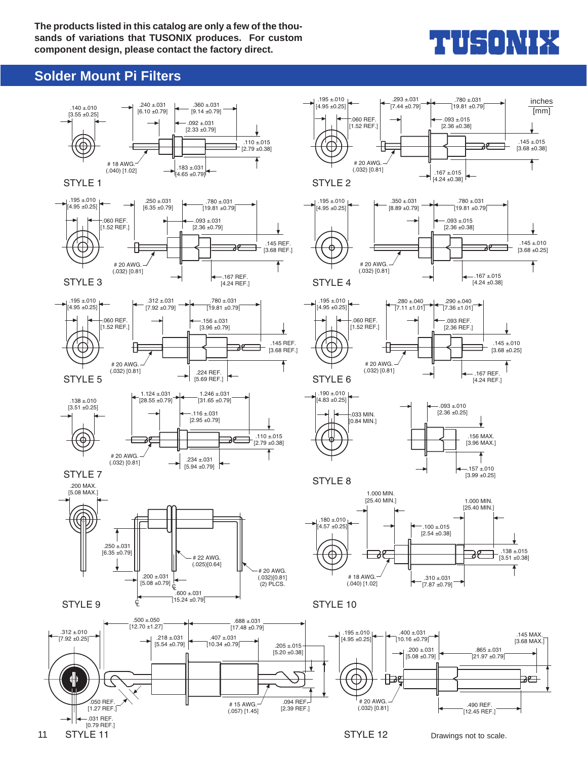**The products listed in this catalog are only a few of the thousands of variations that TUSONIX produces. For custom component design, please contact the factory direct.**

# THUS ONIEZ

### **Solder Mount Pi Filters**